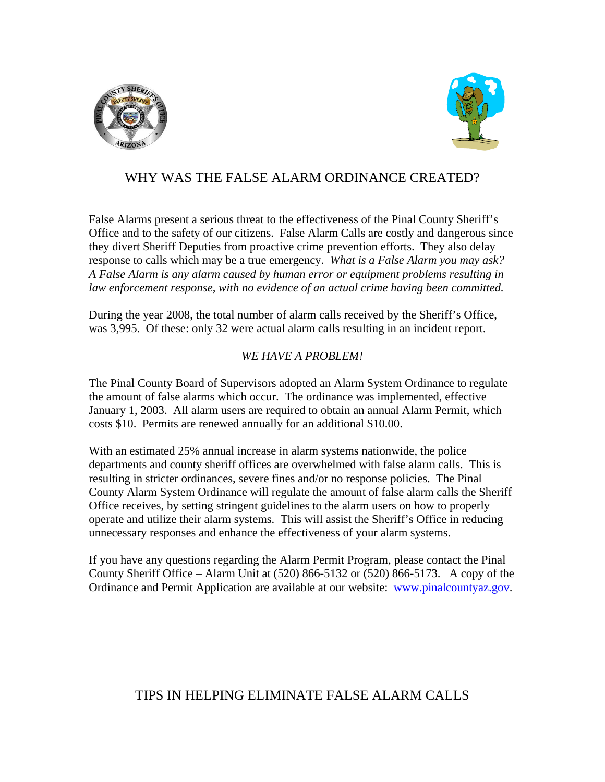



## WHY WAS THE FALSE ALARM ORDINANCE CREATED?

False Alarms present a serious threat to the effectiveness of the Pinal County Sheriff's Office and to the safety of our citizens. False Alarm Calls are costly and dangerous since they divert Sheriff Deputies from proactive crime prevention efforts. They also delay response to calls which may be a true emergency. *What is a False Alarm you may ask? A False Alarm is any alarm caused by human error or equipment problems resulting in*  law enforcement response, with no evidence of an actual crime having been committed.

During the year 2008, the total number of alarm calls received by the Sheriff's Office, was 3,995. Of these: only 32 were actual alarm calls resulting in an incident report.

#### *WE HAVE A PROBLEM!*

The Pinal County Board of Supervisors adopted an Alarm System Ordinance to regulate the amount of false alarms which occur. The ordinance was implemented, effective January 1, 2003. All alarm users are required to obtain an annual Alarm Permit, which costs \$10. Permits are renewed annually for an additional \$10.00.

With an estimated 25% annual increase in alarm systems nationwide, the police departments and county sheriff offices are overwhelmed with false alarm calls. This is resulting in stricter ordinances, severe fines and/or no response policies. The Pinal County Alarm System Ordinance will regulate the amount of false alarm calls the Sheriff Office receives, by setting stringent guidelines to the alarm users on how to properly operate and utilize their alarm systems. This will assist the Sheriff's Office in reducing unnecessary responses and enhance the effectiveness of your alarm systems.

If you have any questions regarding the Alarm Permit Program, please contact the Pinal County Sheriff Office – Alarm Unit at (520) 866-5132 or (520) 866-5173. A copy of the Ordinance and Permit Application are available at our website: [www.pinalcountyaz.gov.](http://www.pinalcountyaz.gov/)

### TIPS IN HELPING ELIMINATE FALSE ALARM CALLS